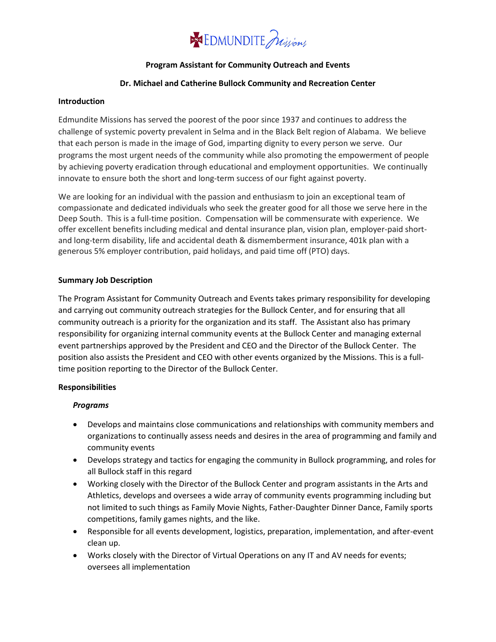## **SSE EDMUNDITE** Julyons

#### **Program Assistant for Community Outreach and Events**

#### **Dr. Michael and Catherine Bullock Community and Recreation Center**

#### **Introduction**

Edmundite Missions has served the poorest of the poor since 1937 and continues to address the challenge of systemic poverty prevalent in Selma and in the Black Belt region of Alabama. We believe that each person is made in the image of God, imparting dignity to every person we serve. Our programs the most urgent needs of the community while also promoting the empowerment of people by achieving poverty eradication through educational and employment opportunities. We continually innovate to ensure both the short and long-term success of our fight against poverty.

We are looking for an individual with the passion and enthusiasm to join an exceptional team of compassionate and dedicated individuals who seek the greater good for all those we serve here in the Deep South. This is a full-time position. Compensation will be commensurate with experience. We offer excellent benefits including medical and dental insurance plan, vision plan, employer-paid shortand long-term disability, life and accidental death & dismemberment insurance, 401k plan with a generous 5% employer contribution, paid holidays, and paid time off (PTO) days.

#### **Summary Job Description**

The Program Assistant for Community Outreach and Events takes primary responsibility for developing and carrying out community outreach strategies for the Bullock Center, and for ensuring that all community outreach is a priority for the organization and its staff. The Assistant also has primary responsibility for organizing internal community events at the Bullock Center and managing external event partnerships approved by the President and CEO and the Director of the Bullock Center. The position also assists the President and CEO with other events organized by the Missions. This is a fulltime position reporting to the Director of the Bullock Center.

#### **Responsibilities**

#### *Programs*

- Develops and maintains close communications and relationships with community members and organizations to continually assess needs and desires in the area of programming and family and community events
- Develops strategy and tactics for engaging the community in Bullock programming, and roles for all Bullock staff in this regard
- Working closely with the Director of the Bullock Center and program assistants in the Arts and Athletics, develops and oversees a wide array of community events programming including but not limited to such things as Family Movie Nights, Father-Daughter Dinner Dance, Family sports competitions, family games nights, and the like.
- Responsible for all events development, logistics, preparation, implementation, and after-event clean up.
- Works closely with the Director of Virtual Operations on any IT and AV needs for events; oversees all implementation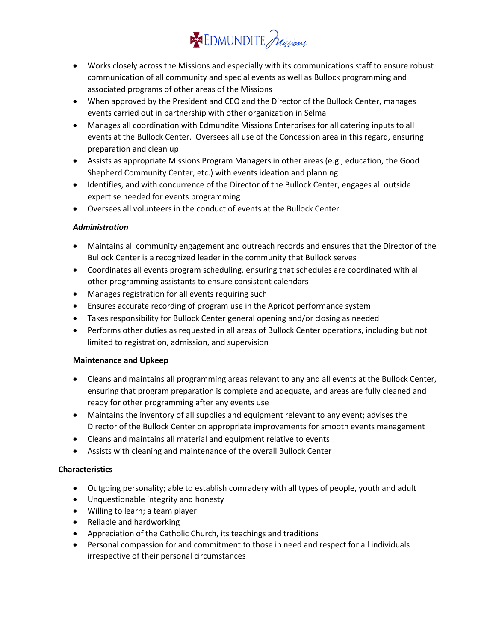# **SEX EDMUNDITE** Julians

- Works closely across the Missions and especially with its communications staff to ensure robust communication of all community and special events as well as Bullock programming and associated programs of other areas of the Missions
- When approved by the President and CEO and the Director of the Bullock Center, manages events carried out in partnership with other organization in Selma
- Manages all coordination with Edmundite Missions Enterprises for all catering inputs to all events at the Bullock Center. Oversees all use of the Concession area in this regard, ensuring preparation and clean up
- Assists as appropriate Missions Program Managers in other areas (e.g., education, the Good Shepherd Community Center, etc.) with events ideation and planning
- Identifies, and with concurrence of the Director of the Bullock Center, engages all outside expertise needed for events programming
- Oversees all volunteers in the conduct of events at the Bullock Center

## *Administration*

- Maintains all community engagement and outreach records and ensures that the Director of the Bullock Center is a recognized leader in the community that Bullock serves
- Coordinates all events program scheduling, ensuring that schedules are coordinated with all other programming assistants to ensure consistent calendars
- Manages registration for all events requiring such
- Ensures accurate recording of program use in the Apricot performance system
- Takes responsibility for Bullock Center general opening and/or closing as needed
- Performs other duties as requested in all areas of Bullock Center operations, including but not limited to registration, admission, and supervision

### **Maintenance and Upkeep**

- Cleans and maintains all programming areas relevant to any and all events at the Bullock Center, ensuring that program preparation is complete and adequate, and areas are fully cleaned and ready for other programming after any events use
- Maintains the inventory of all supplies and equipment relevant to any event; advises the Director of the Bullock Center on appropriate improvements for smooth events management
- Cleans and maintains all material and equipment relative to events
- Assists with cleaning and maintenance of the overall Bullock Center

## **Characteristics**

- Outgoing personality; able to establish comradery with all types of people, youth and adult
- Unquestionable integrity and honesty
- Willing to learn; a team player
- Reliable and hardworking
- Appreciation of the Catholic Church, its teachings and traditions
- Personal compassion for and commitment to those in need and respect for all individuals irrespective of their personal circumstances